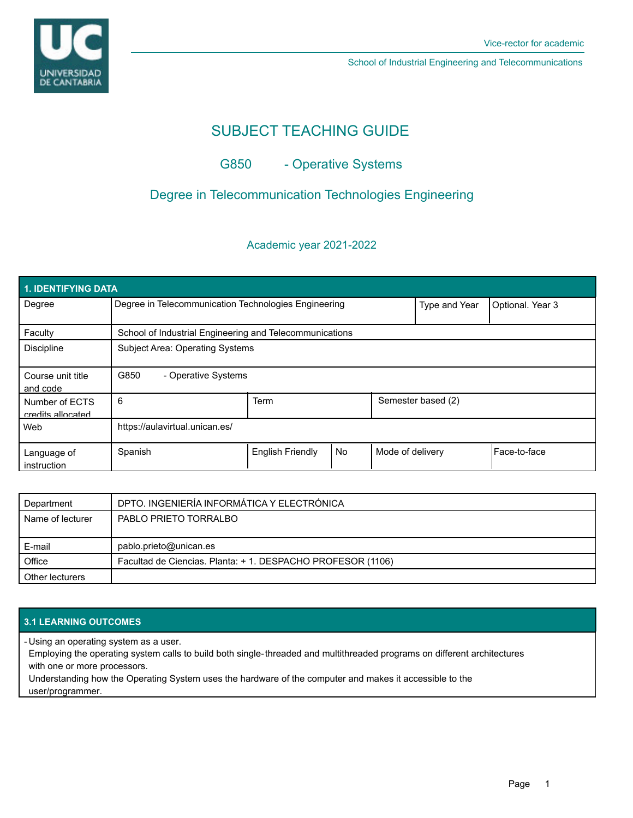

School of Industrial Engineering and Telecommunications

# SUBJECT TEACHING GUIDE

# G850 - Operative Systems

## Degree in Telecommunication Technologies Engineering

### Academic year 2021-2022

| 1. IDENTIFYING DATA                 |                                                         |                         |    |                    |                  |                |  |  |  |
|-------------------------------------|---------------------------------------------------------|-------------------------|----|--------------------|------------------|----------------|--|--|--|
| Degree                              | Degree in Telecommunication Technologies Engineering    |                         |    | Type and Year      | Optional. Year 3 |                |  |  |  |
| Faculty                             | School of Industrial Engineering and Telecommunications |                         |    |                    |                  |                |  |  |  |
| <b>Discipline</b>                   | <b>Subject Area: Operating Systems</b>                  |                         |    |                    |                  |                |  |  |  |
| Course unit title<br>and code       | G850<br>- Operative Systems                             |                         |    |                    |                  |                |  |  |  |
| Number of ECTS<br>credits allocated | 6                                                       | <b>Term</b>             |    | Semester based (2) |                  |                |  |  |  |
| Web                                 | https://aulavirtual.unican.es/                          |                         |    |                    |                  |                |  |  |  |
| Language of<br>instruction          | Spanish                                                 | <b>English Friendly</b> | No | Mode of delivery   |                  | l Face-to-face |  |  |  |

| Department       | DPTO. INGENIERÍA INFORMÁTICA Y ELECTRÓNICA                  |  |  |
|------------------|-------------------------------------------------------------|--|--|
| Name of lecturer | PABLO PRIETO TORRALBO                                       |  |  |
|                  |                                                             |  |  |
| E-mail           | pablo.prieto@unican.es                                      |  |  |
| Office           | Facultad de Ciencias. Planta: + 1. DESPACHO PROFESOR (1106) |  |  |
| Other lecturers  |                                                             |  |  |

### **3.1 LEARNING OUTCOMES**

Using an operating system as a user. -

Employing the operating system calls to build both single-threaded and multithreaded programs on different architectures with one or more processors.

Understanding how the Operating System uses the hardware of the computer and makes it accessible to the user/programmer.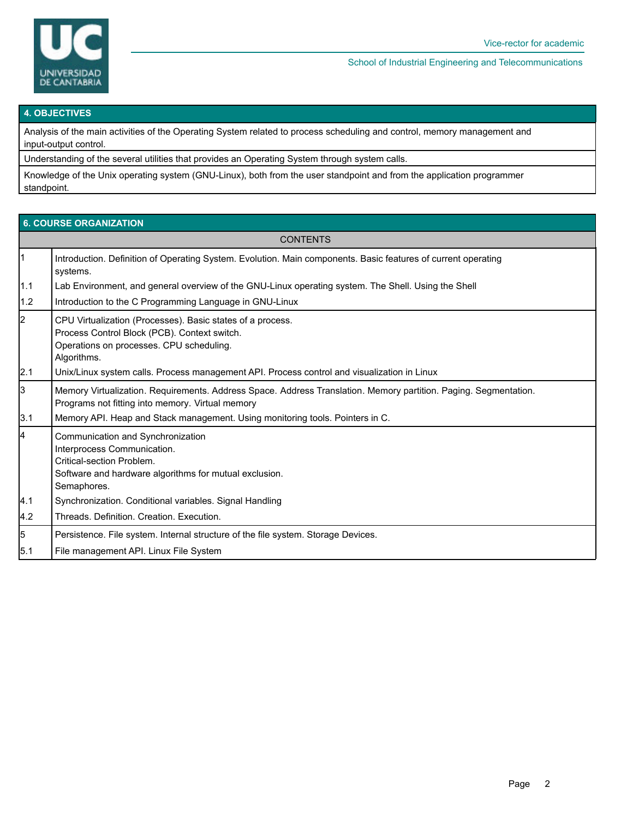

#### School of Industrial Engineering and Telecommunications

#### **4. OBJECTIVES**

Analysis of the main activities of the Operating System related to process scheduling and control, memory management and input-output control.

Understanding of the several utilities that provides an Operating System through system calls.

Knowledge of the Unix operating system (GNU-Linux), both from the user standpoint and from the application programmer standpoint.

|           | <b>6. COURSE ORGANIZATION</b>                                                                                                                                          |  |  |  |  |  |  |
|-----------|------------------------------------------------------------------------------------------------------------------------------------------------------------------------|--|--|--|--|--|--|
|           | <b>CONTENTS</b>                                                                                                                                                        |  |  |  |  |  |  |
| $\vert$ 1 | Introduction. Definition of Operating System. Evolution. Main components. Basic features of current operating<br>systems.                                              |  |  |  |  |  |  |
| 1.1       | Lab Environment, and general overview of the GNU-Linux operating system. The Shell. Using the Shell                                                                    |  |  |  |  |  |  |
| 1.2       | Introduction to the C Programming Language in GNU-Linux                                                                                                                |  |  |  |  |  |  |
| $\vert$ 2 | CPU Virtualization (Processes). Basic states of a process.<br>Process Control Block (PCB). Context switch.<br>Operations on processes. CPU scheduling.<br>Algorithms.  |  |  |  |  |  |  |
| 2.1       | Unix/Linux system calls. Process management API. Process control and visualization in Linux                                                                            |  |  |  |  |  |  |
| l3        | Memory Virtualization. Requirements. Address Space. Address Translation. Memory partition. Paging. Segmentation.<br>Programs not fitting into memory. Virtual memory   |  |  |  |  |  |  |
| 3.1       | Memory API. Heap and Stack management. Using monitoring tools. Pointers in C.                                                                                          |  |  |  |  |  |  |
| 4         | Communication and Synchronization<br>Interprocess Communication.<br>Critical-section Problem.<br>Software and hardware algorithms for mutual exclusion.<br>Semaphores. |  |  |  |  |  |  |
| 4.1       | Synchronization. Conditional variables. Signal Handling                                                                                                                |  |  |  |  |  |  |
| 4.2       | Threads, Definition, Creation, Execution,                                                                                                                              |  |  |  |  |  |  |
| 5         | Persistence. File system. Internal structure of the file system. Storage Devices.                                                                                      |  |  |  |  |  |  |
| 5.1       | File management API. Linux File System                                                                                                                                 |  |  |  |  |  |  |